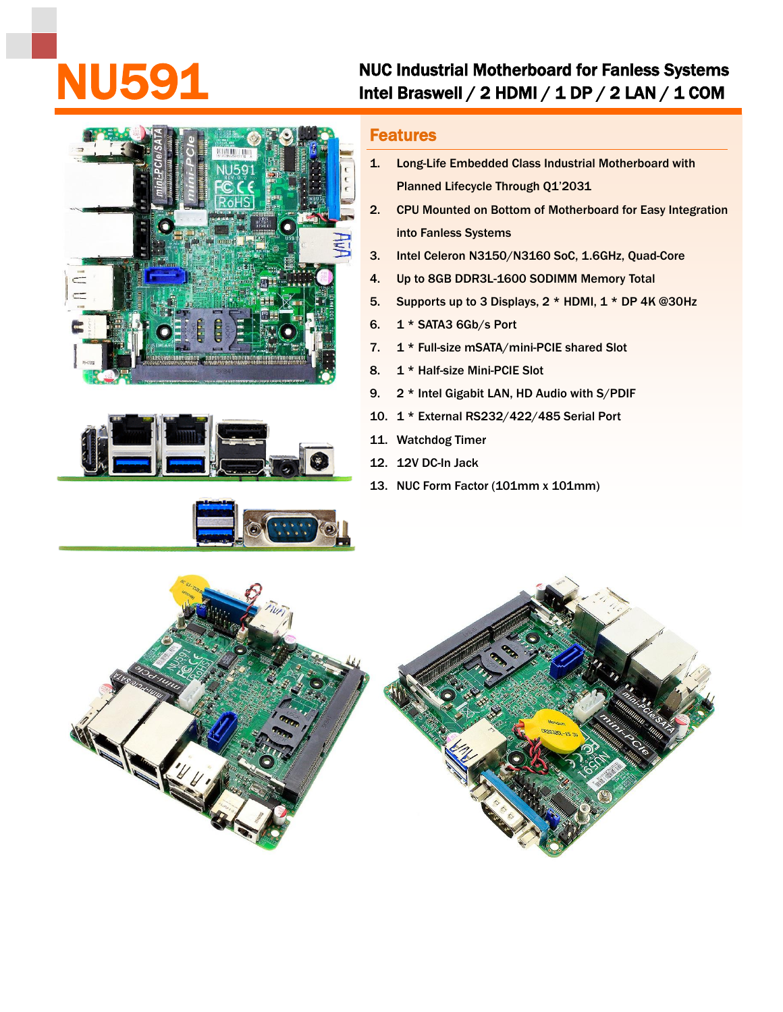## NUC Industrial Motherboard for Fanless Systems<br>Intel Braswell / 2 HDMI / 1 DP / 2 LAN / 1 COM







## Features

- 1. Long-Life Embedded Class Industrial Motherboard with Planned Lifecycle Through Q1'2031
- 2. CPU Mounted on Bottom of Motherboard for Easy Integration into Fanless Systems
- 3. Intel Celeron N3150/N3160 SoC, 1.6GHz, Quad-Core
- 4. Up to 8GB DDR3L-1600 SODIMM Memory Total
- 5. Supports up to 3 Displays, 2 \* HDMI, 1 \* DP 4K @30Hz
- 6. 1 \* SATA3 6Gb/s Port
- 7. 1 \* Full-size mSATA/mini-PCIE shared Slot
- 8. 1 \* Half-size Mini-PCIE Slot
- 9. 2 \* Intel Gigabit LAN, HD Audio with S/PDIF
- 10. 1 \* External RS232/422/485 Serial Port
- 11. Watchdog Timer
- 12. 12V DC-In Jack
- 13. NUC Form Factor (101mm x 101mm)